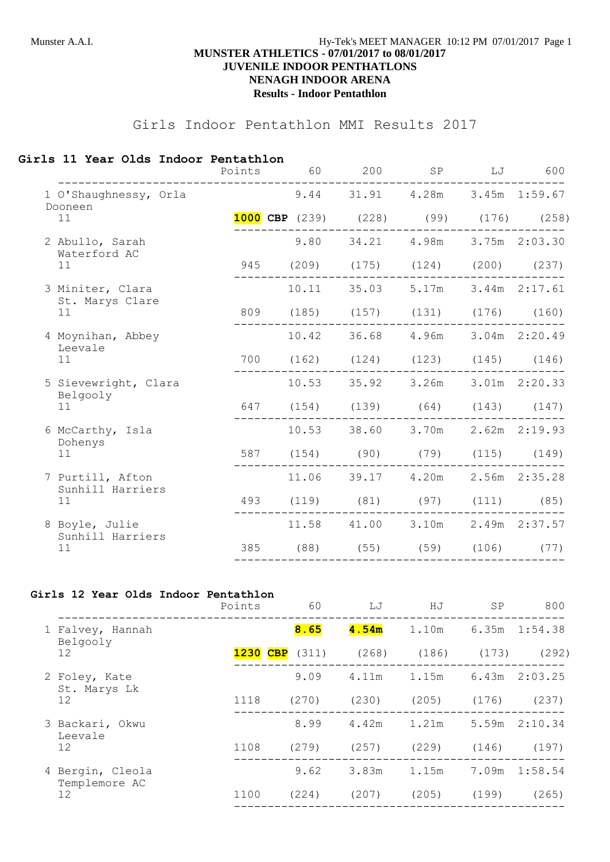## Munster A.A.I. **Hy-Tek's MEET MANAGER** 10:12 PM 07/01/2017 Page 1 **MUNSTER ATHLETICS - 07/01/2017 to 08/01/2017 JUVENILE INDOOR PENTHATLONS NENAGH INDOOR ARENA Results - Indoor Pentathlon**

# Girls Indoor Pentathlon MMI Results 2017

#### **Girls 11 Year Olds Indoor Pentathlon**

|                                            | Points | 60                                           | 200                             | SP                        | LJ | 600             |
|--------------------------------------------|--------|----------------------------------------------|---------------------------------|---------------------------|----|-----------------|
| 1 O'Shaughnessy, Orla<br>Dooneen           |        |                                              | 9.44 31.91 4.28m 3.45m 1:59.67  |                           |    |                 |
| 11                                         |        | <b>1000 CBP</b> (239) (228) (99) (176) (258) |                                 |                           |    |                 |
| 2 Abullo, Sarah<br>Waterford AC            |        | 9.80                                         |                                 | 34.21 4.98m 3.75m 2:03.30 |    |                 |
| 11                                         |        | 945 (209) (175) (124) (200) (237)            |                                 |                           |    |                 |
| 3 Miniter, Clara<br>St. Marys Clare        |        |                                              | 10.11 35.03 5.17m 3.44m 2:17.61 |                           |    |                 |
| 11                                         |        | 809 (185) (157) (131) (176) (160)            |                                 |                           |    |                 |
| 4 Moynihan, Abbey<br>Leevale               |        |                                              | 10.42 36.68 4.96m 3.04m 2:20.49 |                           |    |                 |
| 11                                         |        | 700 (162) (124) (123) (145) (146)            |                                 |                           |    |                 |
| 5 Sievewright, Clara<br>Belgooly           |        |                                              | 10.53 35.92 3.26m 3.01m 2:20.33 |                           |    |                 |
| 11                                         |        | 647 (154) (139) (64) (143) (147)             |                                 |                           |    |                 |
| 6 McCarthy, Isla<br>Dohenys                |        |                                              | 10.53 38.60 3.70m 2.62m 2:19.93 |                           |    |                 |
| 11                                         |        | 587 (154) (90) (79)                          |                                 |                           |    | $(115)$ $(149)$ |
| 7 Purtill, Afton<br>Sunhill Harriers<br>11 |        |                                              | 11.06 39.17                     | 4.20m                     |    | 2.56m 2:35.28   |
|                                            |        | 493 (119) (81) (97) (111) (85)               |                                 |                           |    |                 |
| 8 Boyle, Julie<br>Sunhill Harriers<br>11   |        |                                              | 11.58 41.00 3.10m 2.49m 2:37.57 |                           |    |                 |
|                                            | 385    | (88)                                         | (55)                            | (59)                      |    | $(106)$ (77)    |
|                                            |        |                                              |                                 |                           |    |                 |

## **Girls 12 Year Olds Indoor Pentathlon**

|                                   | Points   | 60    | LJ    | HJ    | SP    | 800               |
|-----------------------------------|----------|-------|-------|-------|-------|-------------------|
| 1 Falvey, Hannah<br>Belgooly      |          | 8.65  | 4.54m | 1.10m |       | 6.35m 1:54.38     |
| 12                                | 1230 CBP | (311) | (268) | (186) | (173) | (292)             |
| 2 Foley, Kate<br>St. Marys Lk     |          | 9.09  | 4.11m | 1.15m |       | $6.43m$ $2:03.25$ |
| 12                                | 1118     | (270) | (230) | (205) | (176) | (237)             |
| 3 Backari, Okwu<br>Leevale        |          | 8.99  | 4.42m | 1.21m |       | $5.59m$ $2:10.34$ |
| 12                                | 1108     | (279) | (257) | (229) | (146) | (197)             |
| 4 Bergin, Cleola<br>Templemore AC |          | 9.62  | 3.83m | 1.15m | 7.09m | 1:58.54           |
| 12                                | 1100     | (224) | (207) | (205) | (199) | (265)             |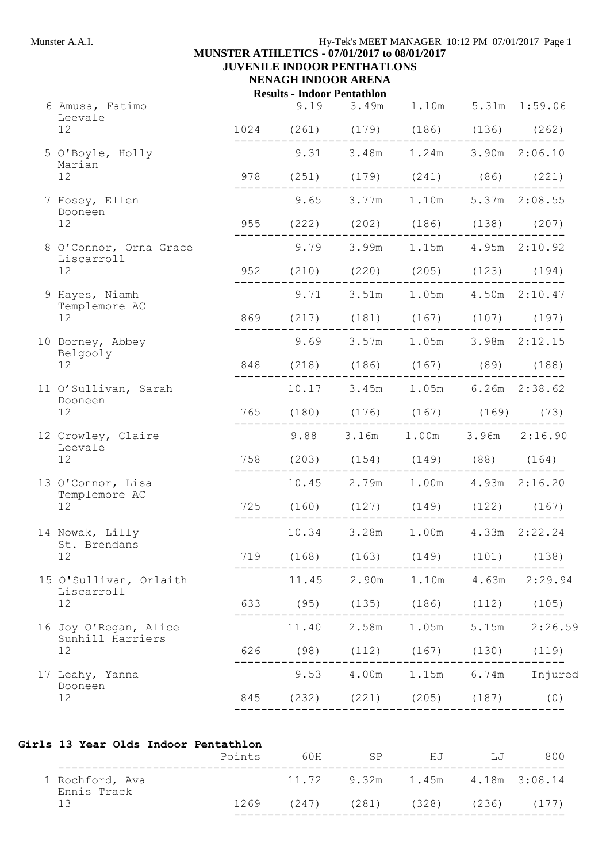## **MUNSTER ATHLETICS - 07/01/2017 to 08/01/2017 JUVENILE INDOOR PENTHATLONS**

# **NENAGH INDOOR ARENA**

| <b>Results - Indoor Pentathlon</b> |              |       |  |
|------------------------------------|--------------|-------|--|
|                                    | <u>ດ 1 ດ</u> | 2.10m |  |

|  | 6 Amusa, Fatimo<br>Leevale<br>12    |     | 9.19  | 3.49m<br>1024 (261) (179) (186) (136) (262)           | 1.10m                                 |                       | 5.31m 1:59.06                       |
|--|-------------------------------------|-----|-------|-------------------------------------------------------|---------------------------------------|-----------------------|-------------------------------------|
|  |                                     |     |       | 9.31 3.48m 1.24m 3.90m 2:06.10                        |                                       |                       |                                     |
|  | 5 O'Boyle, Holly<br>Marian<br>12    |     |       | 978 (251) (179) (241) (86) (221)                      |                                       |                       |                                     |
|  | 7 Hosey, Ellen                      |     | 9.65  |                                                       | 3.77m 1.10m 5.37m 2:08.55             |                       |                                     |
|  | Dooneen<br>12 <sup>°</sup>          |     |       | 955 (222) (202) (186) (138) (207)                     |                                       |                       |                                     |
|  | 8 O'Connor, Orna Grace              |     |       | - - - - - - - - - -<br>9.79 3.99m 1.15m 4.95m 2:10.92 | _____________________________         |                       |                                     |
|  | Liscarroll<br>12                    |     |       | 952 (210) (220) (205) (123) (194)                     |                                       |                       |                                     |
|  | 9 Hayes, Niamh                      |     |       | 9.71 3.51m 1.05m 4.50m 2:10.47                        |                                       |                       |                                     |
|  | Templemore AC<br>12 <sup>°</sup>    |     |       | 869 (217) (181) (167) (107) (197)                     |                                       |                       |                                     |
|  | 10 Dorney, Abbey                    |     |       | 9.69 3.57m 1.05m 3.98m 2:12.15                        |                                       |                       |                                     |
|  | Belgooly<br>12 <sup>°</sup>         |     |       | 848 (218) (186) (167) (89) (188)                      | . _ _ _ _ _ _ _ _ _ _ _ _ _ _ _ _ _ _ |                       |                                     |
|  | 11 O'Sullivan, Sarah<br>Dooneen     |     |       | 10.17 3.45m 1.05m 6.26m 2:38.62                       |                                       |                       |                                     |
|  | 12                                  |     |       | 765 (180) (176) (167) (169) (73)                      |                                       |                       |                                     |
|  | 12 Crowley, Claire<br>Leevale<br>12 |     |       | 9.88 3.16m 1.00m 3.96m 2:16.90                        |                                       |                       |                                     |
|  |                                     |     |       | 758 (203) (154) (149) (88) (164)                      |                                       |                       |                                     |
|  | 13 O'Connor, Lisa<br>Templemore AC  |     | 10.45 |                                                       | 2.79m 1.00m 4.93m 2:16.20             |                       |                                     |
|  | 12                                  |     |       | 725 (160) (127) (149) (122) (167)                     |                                       |                       |                                     |
|  | 14 Nowak, Lilly                     |     | 10.34 | 3.28m                                                 |                                       | 1.00m  4.33m  2:22.24 |                                     |
|  | St. Brendans<br>12                  | 719 | (168) | (163)                                                 | (149)                                 | (101)                 | (138)                               |
|  | 15 O'Sullivan, Orlaith              |     |       |                                                       |                                       |                       | 11.45 2.90m 1.10m 4.63m 2:29.94     |
|  | Liscarroll<br>12                    |     |       | 633 (95) (135) (186) (112) (105)                      |                                       |                       |                                     |
|  | 16 Joy O'Regan, Alice               |     |       |                                                       |                                       |                       | 11.40  2.58m  1.05m  5.15m  2:26.59 |
|  | Sunhill Harriers<br>12              |     |       | 626 (98) (112) (167) (130) (119)                      |                                       |                       |                                     |
|  | 17 Leahy, Yanna                     |     |       |                                                       |                                       |                       | 9.53 4.00m 1.15m 6.74m Injured      |
|  | Dooneen<br>12                       |     |       | 845 (232) (221) (205) (187) (0)                       |                                       |                       |                                     |
|  |                                     |     |       |                                                       |                                       |                       |                                     |

### **Girls 13 Year Olds Indoor Pentathlon**

|                                | Points | 60 H | SP                                  | HJ    | $T_{\rm H}T$ | 800             |
|--------------------------------|--------|------|-------------------------------------|-------|--------------|-----------------|
| 1 Rochford, Ava<br>Ennis Track |        |      | $11.72$ 9.32m $1.45m$ 4.18m 3:08.14 |       |              |                 |
| 13                             | 1269   |      | $(247)$ $(281)$                     | (328) |              | $(236)$ $(177)$ |
|                                |        |      |                                     |       |              |                 |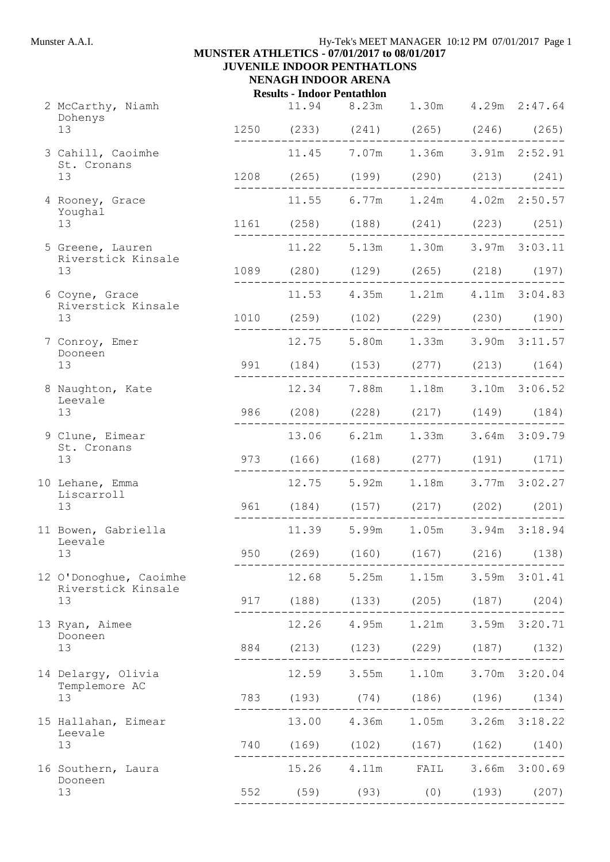## **MUNSTER ATHLETICS - 07/01/2017 to 08/01/2017 JUVENILE INDOOR PENTHATLONS NENAGH INDOOR ARENA**

**Results - Indoor Pentathlon**

|  | 2 McCarthy, Niamh<br>Dohenys<br>13           |     | 11.94 8.23m 1.30m 4.29m 2:47.64<br>1250 (233) (241) (265) (246) (265) |                                   |  |
|--|----------------------------------------------|-----|-----------------------------------------------------------------------|-----------------------------------|--|
|  | 3 Cahill, Caoimhe                            |     | 11.45 7.07m 1.36m 3.91m 2:52.91                                       |                                   |  |
|  | St. Cronans<br>13                            |     | 1208 (265) (199) (290) (213) (241)                                    |                                   |  |
|  | 4 Rooney, Grace                              |     | 11.55 6.77m 1.24m 4.02m 2:50.57                                       |                                   |  |
|  | Youghal<br>13                                |     | 1161 (258) (188) (241) (223) (251)                                    |                                   |  |
|  | 5 Greene, Lauren                             |     | 11.22 5.13m 1.30m 3.97m 3:03.11                                       |                                   |  |
|  | Riverstick Kinsale<br>13                     |     | 1089 (280) (129) (265) (218) (197)                                    |                                   |  |
|  | 6 Coyne, Grace                               |     | ------------------------------<br>11.53  4.35m  1.21m  4.11m  3:04.83 | . _ _ _ _ _ _ _ _ _ _ _ _ _ _ _ _ |  |
|  | Riverstick Kinsale<br>13                     |     | 1010 (259) (102) (229) (230) (190)                                    |                                   |  |
|  | 7 Conroy, Emer                               |     | 12.75 5.80m 1.33m 3.90m 3:11.57                                       |                                   |  |
|  | Dooneen<br>13                                |     | 991 (184) (153) (277) (213) (164)                                     |                                   |  |
|  | 8 Naughton, Kate<br>Leevale<br>13            |     | 12.34 7.88m 1.18m 3.10m 3:06.52                                       |                                   |  |
|  |                                              |     | 986 (208) (228) (217) (149) (184)                                     |                                   |  |
|  | 9 Clune, Eimear<br>St. Cronans               |     | 13.06 6.21m 1.33m 3.64m 3:09.79                                       |                                   |  |
|  | 13                                           |     | 973 (166) (168) (277) (191) (171)                                     |                                   |  |
|  | 10 Lehane, Emma<br>Liscarroll                |     | 12.75 5.92m 1.18m 3.77m 3:02.27                                       |                                   |  |
|  | 13                                           |     | 961 (184) (157) (217) (202) (201)                                     |                                   |  |
|  | 11 Bowen, Gabriella<br>Leevale               |     | 11.39 5.99m 1.05m 3.94m 3:18.94                                       |                                   |  |
|  | 13                                           | 950 | $(269)$ $(160)$ $(167)$ $(216)$ $(138)$                               |                                   |  |
|  | 12 O'Donoghue, Caoimhe<br>Riverstick Kinsale |     | 12.68 5.25m 1.15m 3.59m 3:01.41                                       |                                   |  |
|  | 13                                           |     | 917 (188) (133) (205) (187) (204)                                     |                                   |  |
|  | 13 Ryan, Aimee<br>Dooneen                    |     | 12.26  4.95m  1.21m  3.59m  3:20.71                                   |                                   |  |
|  | 13                                           |     | 884 (213) (123) (229) (187) (132)                                     |                                   |  |
|  | 14 Delargy, Olivia<br>Templemore AC<br>13    |     | 12.59 3.55m 1.10m 3.70m 3:20.04                                       |                                   |  |
|  |                                              |     | 783 (193) (74) (186) (196) (134)<br>_________________                 |                                   |  |
|  | 15 Hallahan, Eimear<br>Leevale               |     | 13.00  4.36m  1.05m  3.26m  3:18.22                                   |                                   |  |
|  | 13                                           |     | 740 (169) (102) (167) (162) (140)                                     |                                   |  |
|  | 16 Southern, Laura<br>Dooneen                |     | 15.26  4.11m  FAIL  3.66m  3:00.69                                    |                                   |  |
|  | 13                                           |     | 552 (59) (93) (0) (193) (207)                                         |                                   |  |
|  |                                              |     |                                                                       |                                   |  |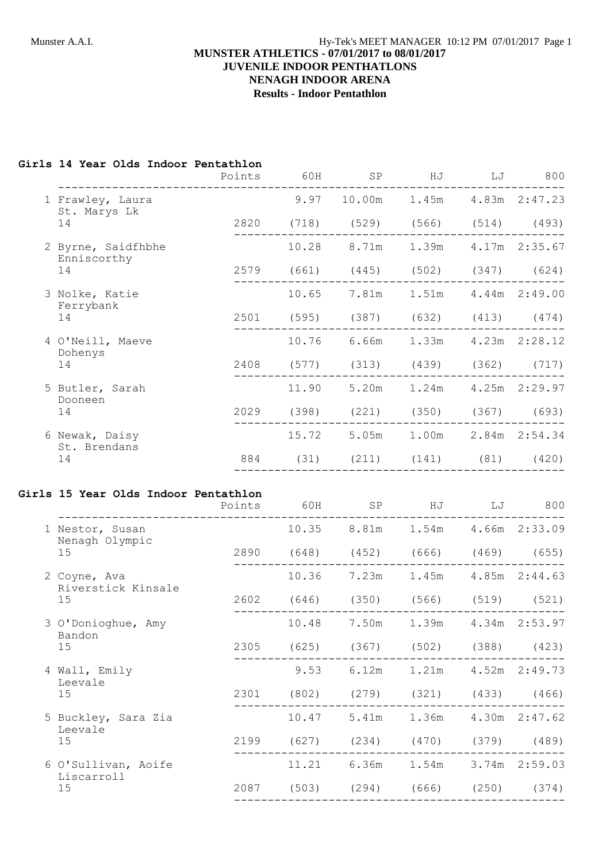## Munster A.A.I. **Hy-Tek's MEET MANAGER** 10:12 PM 07/01/2017 Page 1 **MUNSTER ATHLETICS - 07/01/2017 to 08/01/2017 JUVENILE INDOOR PENTHATLONS NENAGH INDOOR ARENA Results - Indoor Pentathlon**

# **Girls 14 Year Olds Indoor Pentathlon**

|                                  | Points | 60H | SP                                 | HJ LJ | 800 |
|----------------------------------|--------|-----|------------------------------------|-------|-----|
| 1 Frawley, Laura<br>St. Marys Lk |        |     | 9.97 10.00m 1.45m 4.83m 2:47.23    |       |     |
| 14                               |        |     | 2820 (718) (529) (566) (514) (493) |       |     |
| 2 Byrne, Saidfhbhe               |        |     | 10.28 8.71m 1.39m 4.17m 2:35.67    |       |     |
| Enniscorthy<br>14                |        |     | 2579 (661) (445) (502) (347) (624) |       |     |
| 3 Nolke, Katie<br>Ferrybank      |        |     | 10.65 7.81m 1.51m 4.44m 2:49.00    |       |     |
| 14                               |        |     | 2501 (595) (387) (632) (413) (474) |       |     |
| 4 O'Neill, Maeve<br>Dohenys      |        |     | 10.76 6.66m 1.33m 4.23m 2:28.12    |       |     |
| 14                               |        |     | 2408 (577) (313) (439) (362) (717) |       |     |
| 5 Butler, Sarah<br>Dooneen       |        |     | 11.90 5.20m 1.24m 4.25m 2:29.97    |       |     |
| 14                               |        |     | 2029 (398) (221) (350) (367) (693) |       |     |
| 6 Newak, Daisy<br>St. Brendans   |        |     | 15.72 5.05m 1.00m 2.84m 2:54.34    |       |     |
| 14                               |        |     | 884 (31) (211) (141) (81) (420)    |       |     |
|                                  |        |     |                                    |       |     |

#### **Girls 15 Year Olds Indoor Pentathlon**

|                                    | Points | 60H   | SP                                      | ΗJ                              | LJ | 800           |
|------------------------------------|--------|-------|-----------------------------------------|---------------------------------|----|---------------|
| 1 Nestor, Susan<br>Nenagh Olympic  |        |       | 10.35 8.81m 1.54m 4.66m 2:33.09         |                                 |    |               |
| 15                                 |        |       | 2890 (648) (452) (666) (469) (655)      |                                 |    |               |
| 2 Coyne, Ava<br>Riverstick Kinsale |        | 10.36 | 7.23m                                   | 1.45m                           |    | 4.85m 2:44.63 |
| 15                                 |        |       | 2602 (646) (350) (566) (519) (521)      |                                 |    |               |
| 3 O'Donioghue, Amy<br>Bandon       |        | 10.48 | 7.50m                                   | 1.39m                           |    | 4.34m 2:53.97 |
| 15                                 | 2305   | (625) |                                         | $(367)$ $(502)$ $(388)$ $(423)$ |    |               |
| 4 Wall, Emily<br>Leevale           |        | 9.53  | 6.12m                                   | 1.21m                           |    | 4.52m 2:49.73 |
| 15                                 | 2301   |       | $(802)$ $(279)$ $(321)$ $(433)$ $(466)$ |                                 |    |               |
| 5 Buckley, Sara Zia<br>Leevale     |        | 10.47 |                                         | 5.41m 1.36m                     |    | 4.30m 2:47.62 |
| 15                                 | 2199   | (627) | (234)                                   | (470)                           |    | (379) (489)   |
| 6 O'Sullivan, Aoife<br>Liscarroll  |        | 11.21 | 6.36m                                   | 1.54m                           |    | 3.74m 2:59.03 |
| 15                                 | 2087   |       | $(503)$ $(294)$ $(666)$ $(250)$ $(374)$ |                                 |    |               |
|                                    |        |       |                                         |                                 |    |               |